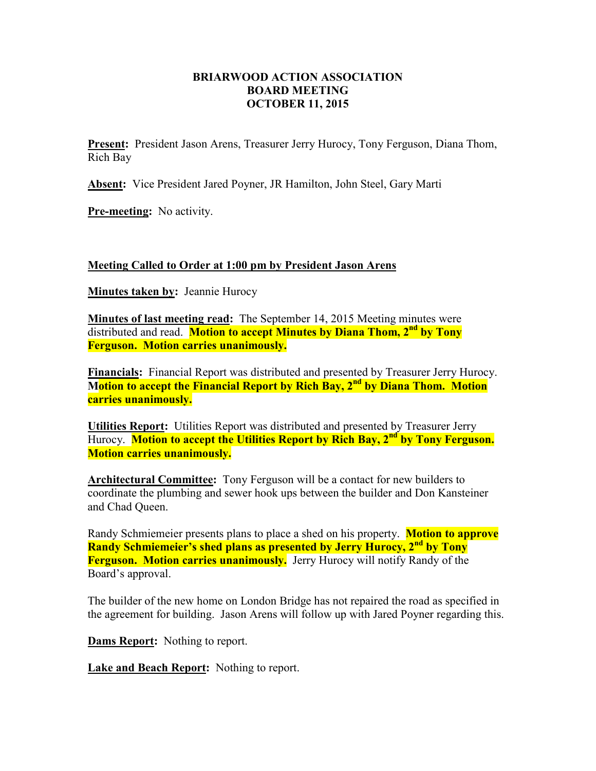## **BRIARWOOD ACTION ASSOCIATION BOARD MEETING OCTOBER 11, 2015**

**Present:** President Jason Arens, Treasurer Jerry Hurocy, Tony Ferguson, Diana Thom, Rich Bay

**Absent:** Vice President Jared Poyner, JR Hamilton, John Steel, Gary Marti

**Pre-meeting:** No activity.

## **Meeting Called to Order at 1:00 pm by President Jason Arens**

**Minutes taken by:** Jeannie Hurocy

**Minutes of last meeting read:** The September 14, 2015 Meeting minutes were distributed and read. **Motion to accept Minutes by Diana Thom, 2nd by Tony Ferguson. Motion carries unanimously.** 

**Financials:** Financial Report was distributed and presented by Treasurer Jerry Hurocy. **Motion to accept the Financial Report by Rich Bay, 2<sup>nd</sup> by Diana Thom. Motion carries unanimously.** 

**Utilities Report:** Utilities Report was distributed and presented by Treasurer Jerry Hurocy. **Motion to accept the Utilities Report by Rich Bay, 2<sup>nd</sup> by Tony Ferguson. Motion carries unanimously.** 

**Architectural Committee:** Tony Ferguson will be a contact for new builders to coordinate the plumbing and sewer hook ups between the builder and Don Kansteiner and Chad Queen.

Randy Schmiemeier presents plans to place a shed on his property. **Motion to approve Randy Schmiemeier's shed plans as presented by Jerry Hurocy, 2nd by Tony Ferguson. Motion carries unanimously.** Jerry Hurocy will notify Randy of the Board's approval.

The builder of the new home on London Bridge has not repaired the road as specified in the agreement for building. Jason Arens will follow up with Jared Poyner regarding this.

**Dams Report:** Nothing to report.

**Lake and Beach Report:** Nothing to report.